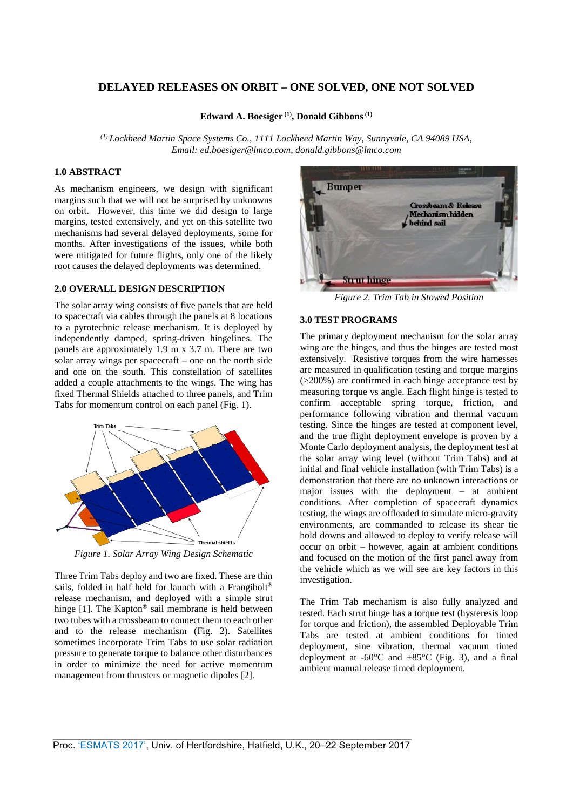# **DELAYED RELEASES ON ORBIT – ONE SOLVED, ONE NOT SOLVED**

**Edward A. Boesiger (1), Donald Gibbons (1)**

*(1) Lockheed Martin Spac[e Systems Co., 1111 Lock](mailto:ed.boesiger@lmco.com)heed Martin Way, Sunnyvale, CA 94089 USA, Email: ed.boesiger@lmco.com, donald.gibbons@lmco.com*

#### **1.0 ABSTRACT**

As mechanism engineers, we design with significant margins such that we will not be surprised by unknowns on orbit. However, this time we did design to large margins, tested extensively, and yet on this satellite two mechanisms had several delayed deployments, some for months. After investigations of the issues, while both were mitigated for future flights, only one of the likely root causes the delayed deployments was determined.

#### **2.0 OVERALL DESIGN DESCRIPTION**

The solar array wing consists of five panels that are held to spacecraft via cables through the panels at 8 locations to a pyrotechnic release mechanism. It is deployed by independently damped, spring-driven hingelines. The panels are approximately 1.9 m x 3.7 m. There are two solar array wings per spacecraft – one on the north side and one on the south. This constellation of satellites added a couple attachments to the wings. The wing has fixed Thermal Shields attached to three panels, and Trim Tabs for momentum control on each panel (Fig. 1).



*Figure 1. Solar Array Wing Design Schematic*

Three Trim Tabs deploy and two are fixed. These are thin sails, folded in half held for launch with a Frangibolt<sup>®</sup> release mechanism, and deployed with a simple strut hinge [1]. The Kapton<sup>®</sup> sail membrane is held between two tubes with a crossbeam to connect them to each other and to the release mechanism (Fig. 2). Satellites sometimes incorporate Trim Tabs to use solar radiation pressure to generate torque to balance other disturbances in order to minimize the need for active momentum management from thrusters or magnetic dipoles [2].



*Figure 2. Trim Tab in Stowed Position*

# **3.0 TEST PROGRAMS**

The primary deployment mechanism for the solar array wing are the hinges, and thus the hinges are tested most extensively. Resistive torques from the wire harnesses are measured in qualification testing and torque margins (>200%) are confirmed in each hinge acceptance test by measuring torque vs angle. Each flight hinge is tested to confirm acceptable spring torque, friction, and performance following vibration and thermal vacuum testing. Since the hinges are tested at component level, and the true flight deployment envelope is proven by a Monte Carlo deployment analysis, the deployment test at the solar array wing level (without Trim Tabs) and at initial and final vehicle installation (with Trim Tabs) is a demonstration that there are no unknown interactions or major issues with the deployment – at ambient conditions. After completion of spacecraft dynamics testing, the wings are offloaded to simulate micro-gravity environments, are commanded to release its shear tie hold downs and allowed to deploy to verify release will occur on orbit – however, again at ambient conditions and focused on the motion of the first panel away from the vehicle which as we will see are key factors in this investigation.

The Trim Tab mechanism is also fully analyzed and tested. Each strut hinge has a torque test (hysteresis loop for torque and friction), the assembled Deployable Trim Tabs are tested at ambient conditions for timed deployment, sine vibration, thermal vacuum timed deployment at -60 $^{\circ}$ C and +85 $^{\circ}$ C (Fig. 3), and a final ambient manual release timed deployment.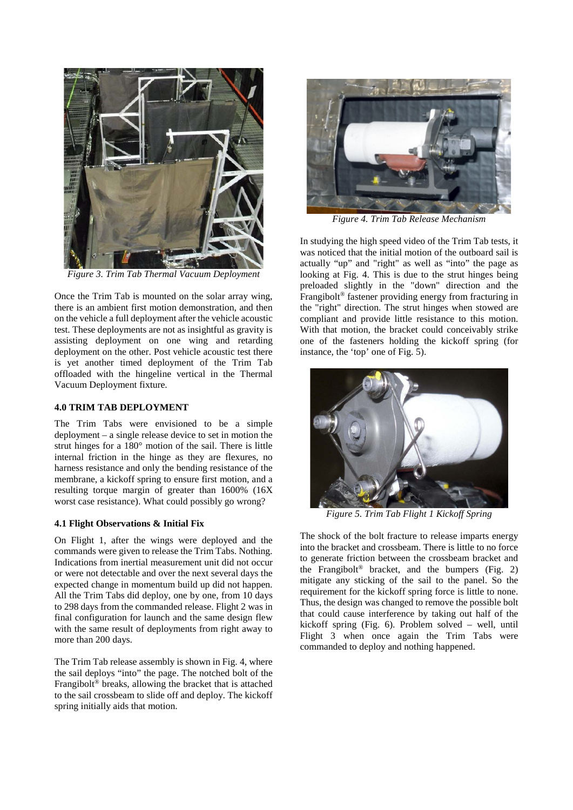

*Figure 3. Trim Tab Thermal Vacuum Deployment*

Once the Trim Tab is mounted on the solar array wing, there is an ambient first motion demonstration, and then on the vehicle a full deployment after the vehicle acoustic test. These deployments are not as insightful as gravity is assisting deployment on one wing and retarding deployment on the other. Post vehicle acoustic test there is yet another timed deployment of the Trim Tab offloaded with the hingeline vertical in the Thermal Vacuum Deployment fixture.

#### **4.0 TRIM TAB DEPLOYMENT**

The Trim Tabs were envisioned to be a simple deployment – a single release device to set in motion the strut hinges for a 180° motion of the sail. There is little internal friction in the hinge as they are flexures, no harness resistance and only the bending resistance of the membrane, a kickoff spring to ensure first motion, and a resulting torque margin of greater than 1600% (16X worst case resistance). What could possibly go wrong?

## **4.1 Flight Observations & Initial Fix**

On Flight 1, after the wings were deployed and the commands were given to release the Trim Tabs. Nothing. Indications from inertial measurement unit did not occur or were not detectable and over the next several days the expected change in momentum build up did not happen. All the Trim Tabs did deploy, one by one, from 10 days to 298 days from the commanded release. Flight 2 was in final configuration for launch and the same design flew with the same result of deployments from right away to more than 200 days.

The Trim Tab release assembly is shown in Fig. 4, where the sail deploys "into" the page. The notched bolt of the Frangibolt® breaks, allowing the bracket that is attached to the sail crossbeam to slide off and deploy. The kickoff spring initially aids that motion.



*Figure 4. Trim Tab Release Mechanism*

In studying the high speed video of the Trim Tab tests, it was noticed that the initial motion of the outboard sail is actually "up" and "right" as well as "into" the page as looking at Fig. 4. This is due to the strut hinges being preloaded slightly in the "down" direction and the Frangibolt® fastener providing energy from fracturing in the "right" direction. The strut hinges when stowed are compliant and provide little resistance to this motion. With that motion, the bracket could conceivably strike one of the fasteners holding the kickoff spring (for instance, the 'top' one of Fig. 5).



*Figure 5. Trim Tab Flight 1 Kickoff Spring*

The shock of the bolt fracture to release imparts energy into the bracket and crossbeam. There is little to no force to generate friction between the crossbeam bracket and the Frangibolt<sup>®</sup> bracket, and the bumpers (Fig. 2) mitigate any sticking of the sail to the panel. So the requirement for the kickoff spring force is little to none. Thus, the design was changed to remove the possible bolt that could cause interference by taking out half of the kickoff spring (Fig. 6). Problem solved – well, until Flight 3 when once again the Trim Tabs were commanded to deploy and nothing happened.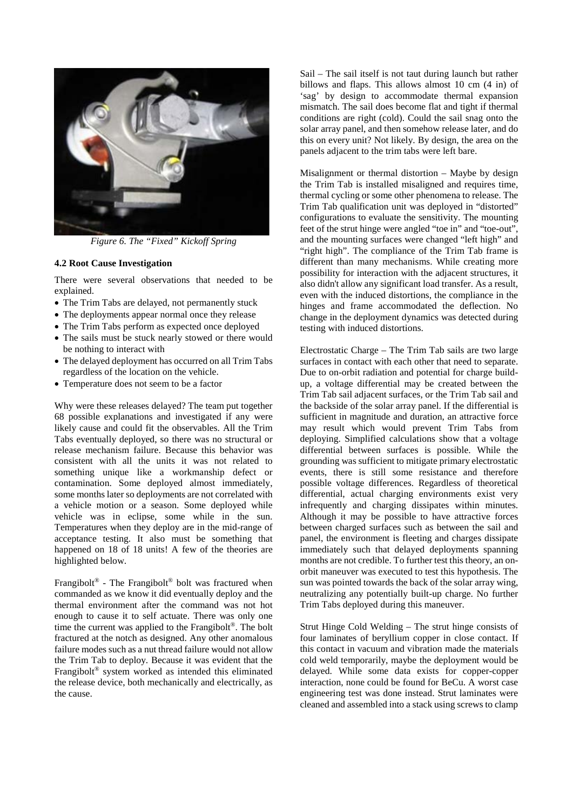

*Figure 6. The "Fixed" Kickoff Spring*

## **4.2 Root Cause Investigation**

There were several observations that needed to be explained.

- The Trim Tabs are delayed, not permanently stuck
- The deployments appear normal once they release
- The Trim Tabs perform as expected once deployed
- The sails must be stuck nearly stowed or there would be nothing to interact with
- The delayed deployment has occurred on all Trim Tabs regardless of the location on the vehicle.
- Temperature does not seem to be a factor

Why were these releases delayed? The team put together 68 possible explanations and investigated if any were likely cause and could fit the observables. All the Trim Tabs eventually deployed, so there was no structural or release mechanism failure. Because this behavior was consistent with all the units it was not related to something unique like a workmanship defect or contamination. Some deployed almost immediately, some months later so deployments are not correlated with a vehicle motion or a season. Some deployed while vehicle was in eclipse, some while in the sun. Temperatures when they deploy are in the mid-range of acceptance testing. It also must be something that happened on 18 of 18 units! A few of the theories are highlighted below.

Frangibolt<sup>®</sup> - The Frangibolt<sup>®</sup> bolt was fractured when commanded as we know it did eventually deploy and the thermal environment after the command was not hot enough to cause it to self actuate. There was only one time the current was applied to the Frangibolt®. The bolt fractured at the notch as designed. Any other anomalous failure modes such as a nut thread failure would not allow the Trim Tab to deploy. Because it was evident that the Frangibolt® system worked as intended this eliminated the release device, both mechanically and electrically, as the cause.

Sail – The sail itself is not taut during launch but rather billows and flaps. This allows almost 10 cm (4 in) of 'sag' by design to accommodate thermal expansion mismatch. The sail does become flat and tight if thermal conditions are right (cold). Could the sail snag onto the solar array panel, and then somehow release later, and do this on every unit? Not likely. By design, the area on the panels adjacent to the trim tabs were left bare.

Misalignment or thermal distortion – Maybe by design the Trim Tab is installed misaligned and requires time, thermal cycling or some other phenomena to release. The Trim Tab qualification unit was deployed in "distorted" configurations to evaluate the sensitivity. The mounting feet of the strut hinge were angled "toe in" and "toe-out", and the mounting surfaces were changed "left high" and "right high". The compliance of the Trim Tab frame is different than many mechanisms. While creating more possibility for interaction with the adjacent structures, it also didn't allow any significant load transfer. As a result, even with the induced distortions, the compliance in the hinges and frame accommodated the deflection. No change in the deployment dynamics was detected during testing with induced distortions.

Electrostatic Charge – The Trim Tab sails are two large surfaces in contact with each other that need to separate. Due to on-orbit radiation and potential for charge buildup, a voltage differential may be created between the Trim Tab sail adjacent surfaces, or the Trim Tab sail and the backside of the solar array panel. If the differential is sufficient in magnitude and duration, an attractive force may result which would prevent Trim Tabs from deploying. Simplified calculations show that a voltage differential between surfaces is possible. While the grounding was sufficient to mitigate primary electrostatic events, there is still some resistance and therefore possible voltage differences. Regardless of theoretical differential, actual charging environments exist very infrequently and charging dissipates within minutes. Although it may be possible to have attractive forces between charged surfaces such as between the sail and panel, the environment is fleeting and charges dissipate immediately such that delayed deployments spanning months are not credible. To further test this theory, an onorbit maneuver was executed to test this hypothesis. The sun was pointed towards the back of the solar array wing, neutralizing any potentially built-up charge. No further Trim Tabs deployed during this maneuver.

Strut Hinge Cold Welding – The strut hinge consists of four laminates of beryllium copper in close contact. If this contact in vacuum and vibration made the materials cold weld temporarily, maybe the deployment would be delayed. While some data exists for copper-copper interaction, none could be found for BeCu. A worst case engineering test was done instead. Strut laminates were cleaned and assembled into a stack using screws to clamp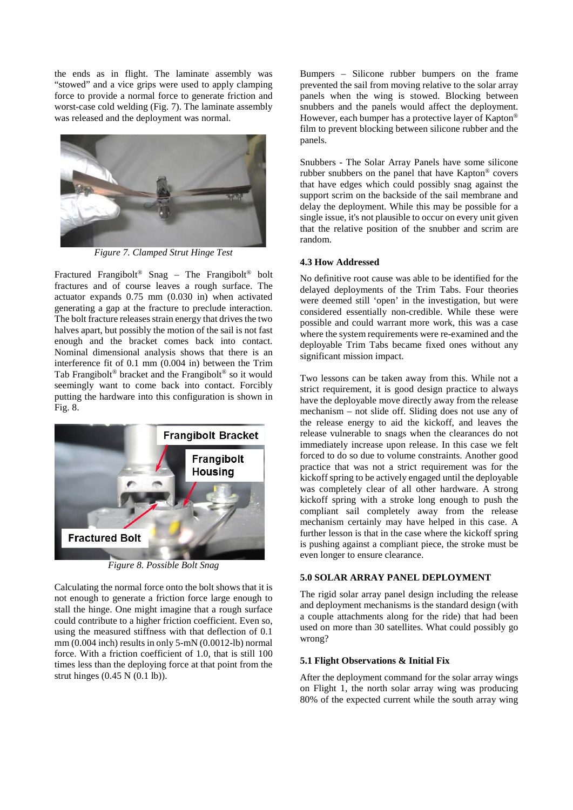the ends as in flight. The laminate assembly was "stowed" and a vice grips were used to apply clamping force to provide a normal force to generate friction and worst-case cold welding (Fig. 7). The laminate assembly was released and the deployment was normal.



*Figure 7. Clamped Strut Hinge Test*

Fractured Frangibolt® Snag – The Frangibolt® bolt fractures and of course leaves a rough surface. The actuator expands 0.75 mm (0.030 in) when activated generating a gap at the fracture to preclude interaction. The bolt fracture releases strain energy that drives the two halves apart, but possibly the motion of the sail is not fast enough and the bracket comes back into contact. Nominal dimensional analysis shows that there is an interference fit of 0.1 mm (0.004 in) between the Trim Tab Frangibolt® bracket and the Frangibolt® so it would seemingly want to come back into contact. Forcibly putting the hardware into this configuration is shown in Fig. 8.



*Figure 8. Possible Bolt Snag*

Calculating the normal force onto the bolt shows that it is not enough to generate a friction force large enough to stall the hinge. One might imagine that a rough surface could contribute to a higher friction coefficient. Even so, using the measured stiffness with that deflection of 0.1 mm (0.004 inch) results in only 5-mN (0.0012-lb) normal force. With a friction coefficient of 1.0, that is still 100 times less than the deploying force at that point from the strut hinges (0.45 N (0.1 lb)).

Bumpers – Silicone rubber bumpers on the frame prevented the sail from moving relative to the solar array panels when the wing is stowed. Blocking between snubbers and the panels would affect the deployment. However, each bumper has a protective layer of Kapton® film to prevent blocking between silicone rubber and the panels.

Snubbers - The Solar Array Panels have some silicone rubber snubbers on the panel that have Kapton® covers that have edges which could possibly snag against the support scrim on the backside of the sail membrane and delay the deployment. While this may be possible for a single issue, it's not plausible to occur on every unit given that the relative position of the snubber and scrim are random.

## **4.3 How Addressed**

No definitive root cause was able to be identified for the delayed deployments of the Trim Tabs. Four theories were deemed still 'open' in the investigation, but were considered essentially non-credible. While these were possible and could warrant more work, this was a case where the system requirements were re-examined and the deployable Trim Tabs became fixed ones without any significant mission impact.

Two lessons can be taken away from this. While not a strict requirement, it is good design practice to always have the deployable move directly away from the release mechanism – not slide off. Sliding does not use any of the release energy to aid the kickoff, and leaves the release vulnerable to snags when the clearances do not immediately increase upon release. In this case we felt forced to do so due to volume constraints. Another good practice that was not a strict requirement was for the kickoff spring to be actively engaged until the deployable was completely clear of all other hardware. A strong kickoff spring with a stroke long enough to push the compliant sail completely away from the release mechanism certainly may have helped in this case. A further lesson is that in the case where the kickoff spring is pushing against a compliant piece, the stroke must be even longer to ensure clearance.

## **5.0 SOLAR ARRAY PANEL DEPLOYMENT**

The rigid solar array panel design including the release and deployment mechanisms is the standard design (with a couple attachments along for the ride) that had been used on more than 30 satellites. What could possibly go wrong?

## **5.1 Flight Observations & Initial Fix**

After the deployment command for the solar array wings on Flight 1, the north solar array wing was producing 80% of the expected current while the south array wing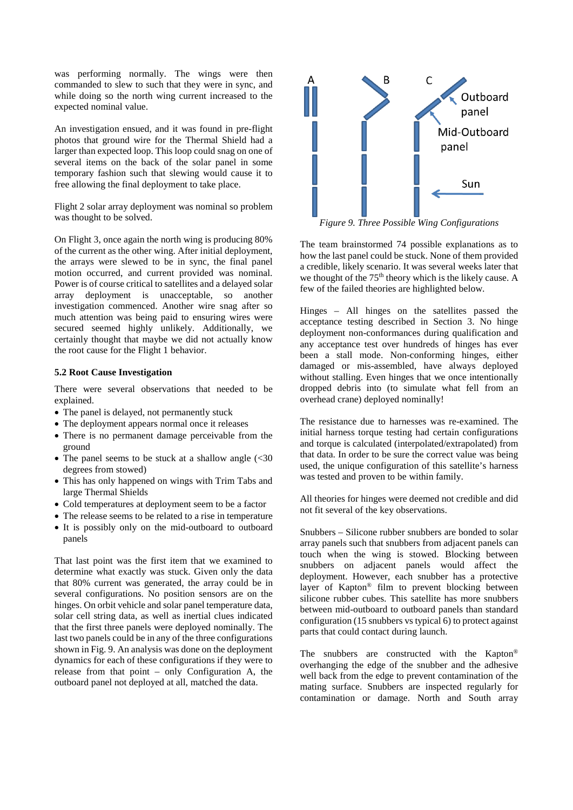was performing normally. The wings were then commanded to slew to such that they were in sync, and while doing so the north wing current increased to the expected nominal value.

An investigation ensued, and it was found in pre-flight photos that ground wire for the Thermal Shield had a larger than expected loop. This loop could snag on one of several items on the back of the solar panel in some temporary fashion such that slewing would cause it to free allowing the final deployment to take place.

Flight 2 solar array deployment was nominal so problem was thought to be solved.

On Flight 3, once again the north wing is producing 80% of the current as the other wing. After initial deployment, the arrays were slewed to be in sync, the final panel motion occurred, and current provided was nominal. Power is of course critical to satellites and a delayed solar array deployment is unacceptable, so another investigation commenced. Another wire snag after so much attention was being paid to ensuring wires were secured seemed highly unlikely. Additionally, we certainly thought that maybe we did not actually know the root cause for the Flight 1 behavior.

#### **5.2 Root Cause Investigation**

There were several observations that needed to be explained.

- The panel is delayed, not permanently stuck
- The deployment appears normal once it releases
- There is no permanent damage perceivable from the ground
- The panel seems to be stuck at a shallow angle  $\langle$  <30 degrees from stowed)
- This has only happened on wings with Trim Tabs and large Thermal Shields
- Cold temperatures at deployment seem to be a factor
- The release seems to be related to a rise in temperature
- It is possibly only on the mid-outboard to outboard panels

That last point was the first item that we examined to determine what exactly was stuck. Given only the data that 80% current was generated, the array could be in several configurations. No position sensors are on the hinges. On orbit vehicle and solar panel temperature data, solar cell string data, as well as inertial clues indicated that the first three panels were deployed nominally. The last two panels could be in any of the three configurations shown in Fig. 9. An analysis was done on the deployment dynamics for each of these configurations if they were to release from that point – only Configuration A, the outboard panel not deployed at all, matched the data.



*Figure 9. Three Possible Wing Configurations*

The team brainstormed 74 possible explanations as to how the last panel could be stuck. None of them provided a credible, likely scenario. It was several weeks later that we thought of the 75<sup>th</sup> theory which is the likely cause. A few of the failed theories are highlighted below.

Hinges – All hinges on the satellites passed the acceptance testing described in Section 3. No hinge deployment non-conformances during qualification and any acceptance test over hundreds of hinges has ever been a stall mode. Non-conforming hinges, either damaged or mis-assembled, have always deployed without stalling. Even hinges that we once intentionally dropped debris into (to simulate what fell from an overhead crane) deployed nominally!

The resistance due to harnesses was re-examined. The initial harness torque testing had certain configurations and torque is calculated (interpolated/extrapolated) from that data. In order to be sure the correct value was being used, the unique configuration of this satellite's harness was tested and proven to be within family.

All theories for hinges were deemed not credible and did not fit several of the key observations.

Snubbers – Silicone rubber snubbers are bonded to solar array panels such that snubbers from adjacent panels can touch when the wing is stowed. Blocking between snubbers on adjacent panels would affect the deployment. However, each snubber has a protective layer of Kapton® film to prevent blocking between silicone rubber cubes. This satellite has more snubbers between mid-outboard to outboard panels than standard configuration (15 snubbers vs typical 6) to protect against parts that could contact during launch.

The snubbers are constructed with the Kapton<sup>®</sup> overhanging the edge of the snubber and the adhesive well back from the edge to prevent contamination of the mating surface. Snubbers are inspected regularly for contamination or damage. North and South array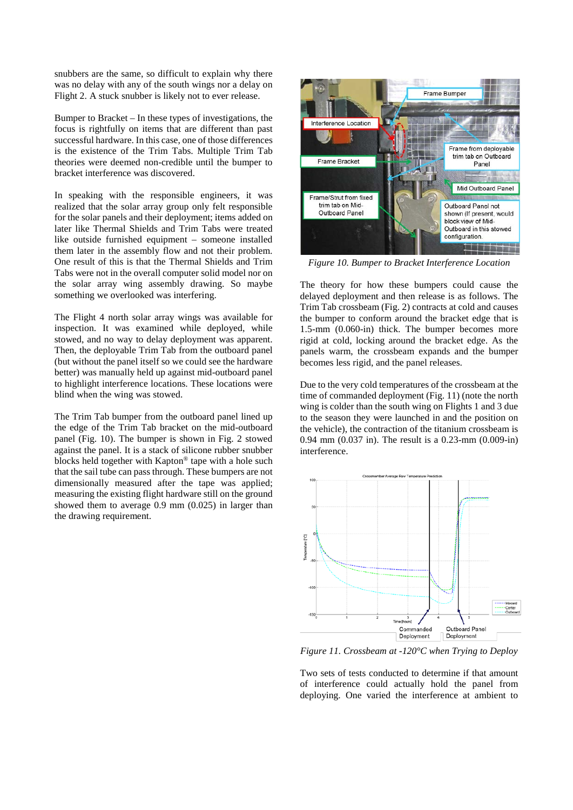snubbers are the same, so difficult to explain why there was no delay with any of the south wings nor a delay on Flight 2. A stuck snubber is likely not to ever release.

Bumper to Bracket – In these types of investigations, the focus is rightfully on items that are different than past successful hardware. In this case, one of those differences is the existence of the Trim Tabs. Multiple Trim Tab theories were deemed non-credible until the bumper to bracket interference was discovered.

In speaking with the responsible engineers, it was realized that the solar array group only felt responsible for the solar panels and their deployment; items added on later like Thermal Shields and Trim Tabs were treated like outside furnished equipment – someone installed them later in the assembly flow and not their problem. One result of this is that the Thermal Shields and Trim Tabs were not in the overall computer solid model nor on the solar array wing assembly drawing. So maybe something we overlooked was interfering.

The Flight 4 north solar array wings was available for inspection. It was examined while deployed, while stowed, and no way to delay deployment was apparent. Then, the deployable Trim Tab from the outboard panel (but without the panel itself so we could see the hardware better) was manually held up against mid-outboard panel to highlight interference locations. These locations were blind when the wing was stowed.

The Trim Tab bumper from the outboard panel lined up the edge of the Trim Tab bracket on the mid-outboard panel (Fig. 10). The bumper is shown in Fig. 2 stowed against the panel. It is a stack of silicone rubber snubber blocks held together with Kapton® tape with a hole such that the sail tube can pass through. These bumpers are not dimensionally measured after the tape was applied; measuring the existing flight hardware still on the ground showed them to average 0.9 mm (0.025) in larger than the drawing requirement.



*Figure 10. Bumper to Bracket Interference Location*

The theory for how these bumpers could cause the delayed deployment and then release is as follows. The Trim Tab crossbeam (Fig. 2) contracts at cold and causes the bumper to conform around the bracket edge that is 1.5-mm (0.060-in) thick. The bumper becomes more rigid at cold, locking around the bracket edge. As the panels warm, the crossbeam expands and the bumper becomes less rigid, and the panel releases.

Due to the very cold temperatures of the crossbeam at the time of commanded deployment (Fig. 11) (note the north wing is colder than the south wing on Flights 1 and 3 due to the season they were launched in and the position on the vehicle), the contraction of the titanium crossbeam is 0.94 mm (0.037 in). The result is a 0.23-mm (0.009-in) interference.



*Figure 11. Crossbeam at -120°C when Trying to Deploy*

Two sets of tests conducted to determine if that amount of interference could actually hold the panel from deploying. One varied the interference at ambient to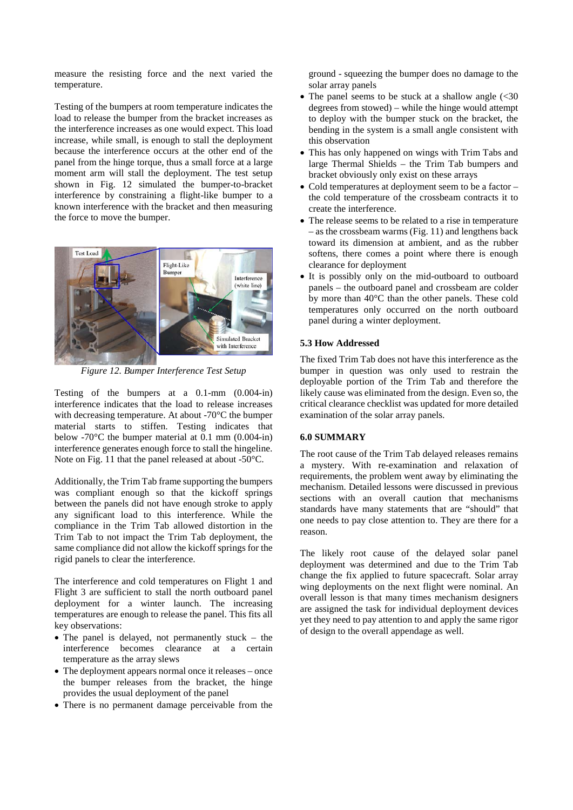measure the resisting force and the next varied the temperature.

Testing of the bumpers at room temperature indicates the load to release the bumper from the bracket increases as the interference increases as one would expect. This load increase, while small, is enough to stall the deployment because the interference occurs at the other end of the panel from the hinge torque, thus a small force at a large moment arm will stall the deployment. The test setup shown in Fig. 12 simulated the bumper-to-bracket interference by constraining a flight-like bumper to a known interference with the bracket and then measuring the force to move the bumper.



*Figure 12. Bumper Interference Test Setup*

Testing of the bumpers at a 0.1-mm (0.004-in) interference indicates that the load to release increases with decreasing temperature. At about -70°C the bumper material starts to stiffen. Testing indicates that below -70 $^{\circ}$ C the bumper material at 0.1 mm (0.004-in) interference generates enough force to stall the hingeline. Note on Fig. 11 that the panel released at about -50°C.

Additionally, the Trim Tab frame supporting the bumpers was compliant enough so that the kickoff springs between the panels did not have enough stroke to apply any significant load to this interference. While the compliance in the Trim Tab allowed distortion in the Trim Tab to not impact the Trim Tab deployment, the same compliance did not allow the kickoff springs for the rigid panels to clear the interference.

The interference and cold temperatures on Flight 1 and Flight 3 are sufficient to stall the north outboard panel deployment for a winter launch. The increasing temperatures are enough to release the panel. This fits all key observations:

- The panel is delayed, not permanently stuck the interference becomes clearance at a certain temperature as the array slews
- The deployment appears normal once it releases once the bumper releases from the bracket, the hinge provides the usual deployment of the panel
- There is no permanent damage perceivable from the

ground - squeezing the bumper does no damage to the solar array panels

- The panel seems to be stuck at a shallow angle  $\langle$  <30 degrees from stowed) – while the hinge would attempt to deploy with the bumper stuck on the bracket, the bending in the system is a small angle consistent with this observation
- This has only happened on wings with Trim Tabs and large Thermal Shields – the Trim Tab bumpers and bracket obviously only exist on these arrays
- Cold temperatures at deployment seem to be a factor the cold temperature of the crossbeam contracts it to create the interference.
- The release seems to be related to a rise in temperature – as the crossbeam warms (Fig. 11) and lengthens back toward its dimension at ambient, and as the rubber softens, there comes a point where there is enough clearance for deployment
- It is possibly only on the mid-outboard to outboard panels – the outboard panel and crossbeam are colder by more than 40°C than the other panels. These cold temperatures only occurred on the north outboard panel during a winter deployment.

# **5.3 How Addressed**

The fixed Trim Tab does not have this interference as the bumper in question was only used to restrain the deployable portion of the Trim Tab and therefore the likely cause was eliminated from the design. Even so, the critical clearance checklist was updated for more detailed examination of the solar array panels.

# **6.0 SUMMARY**

The root cause of the Trim Tab delayed releases remains a mystery. With re-examination and relaxation of requirements, the problem went away by eliminating the mechanism. Detailed lessons were discussed in previous sections with an overall caution that mechanisms standards have many statements that are "should" that one needs to pay close attention to. They are there for a reason.

The likely root cause of the delayed solar panel deployment was determined and due to the Trim Tab change the fix applied to future spacecraft. Solar array wing deployments on the next flight were nominal. An overall lesson is that many times mechanism designers are assigned the task for individual deployment devices yet they need to pay attention to and apply the same rigor of design to the overall appendage as well.